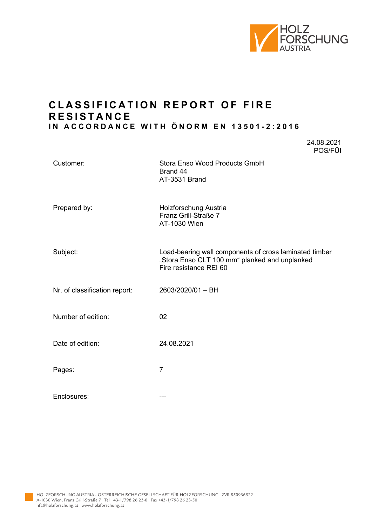

24.08.2021

## **C L ASSIFICATION REPORT OF FIRE R ESISTANCE IN ACCORDANCE WITH ÖNORM EN 13501 - 2 :2016**

|                               | POS/FÜI                                                                                                                           |
|-------------------------------|-----------------------------------------------------------------------------------------------------------------------------------|
| Customer:                     | Stora Enso Wood Products GmbH<br>Brand 44<br>AT-3531 Brand                                                                        |
| Prepared by:                  | Holzforschung Austria<br>Franz Grill-Straße 7<br>AT-1030 Wien                                                                     |
| Subject:                      | Load-bearing wall components of cross laminated timber<br>"Stora Enso CLT 100 mm" planked and unplanked<br>Fire resistance REI 60 |
| Nr. of classification report: | 2603/2020/01 - BH                                                                                                                 |
| Number of edition:            | 02                                                                                                                                |
| Date of edition:              | 24.08.2021                                                                                                                        |
| Pages:                        | $\overline{7}$                                                                                                                    |
| Enclosures:                   | ---                                                                                                                               |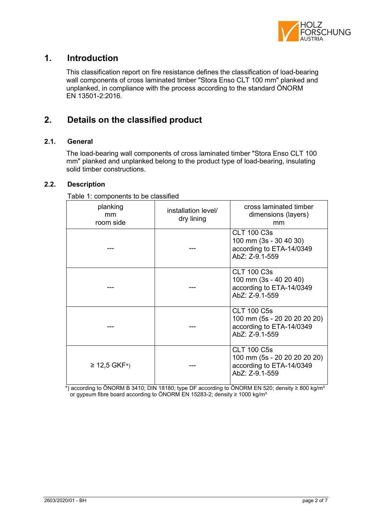

## **1. Introduction**

This classification report on fire resistance defines the classification of load-bearing wall components of cross laminated timber "Stora Enso CLT 100 mm" planked and unplanked, in compliance with the process according to the standard ÖNORM EN 13501-2:2016.

# **2. Details on the classified product**

### **2.1. General**

The load-bearing wall components of cross laminated timber "Stora Enso CLT 100 mm" planked and unplanked belong to the product type of load-bearing, insulating solid timber constructions.

#### **2.2. Description**

| <b>Table 1. Components to be classified</b> |                                   |                                                                                                  |  |  |
|---------------------------------------------|-----------------------------------|--------------------------------------------------------------------------------------------------|--|--|
| planking<br>mm<br>room side                 | installation level/<br>dry lining | cross laminated timber<br>dimensions (layers)<br>mm                                              |  |  |
|                                             |                                   | <b>CLT 100 C3s</b><br>100 mm (3s - 30 40 30)<br>according to ETA-14/0349<br>AbZ: Z-9.1-559       |  |  |
|                                             |                                   | <b>CLT 100 C3s</b><br>100 mm (3s - 40 20 40)<br>according to ETA-14/0349<br>AbZ: Z-9.1-559       |  |  |
|                                             |                                   | <b>CLT 100 C5s</b><br>100 mm (5s - 20 20 20 20 20)<br>according to ETA-14/0349<br>AbZ: Z-9.1-559 |  |  |
| ≥ 12,5 GKF <sup>*</sup> )                   |                                   | <b>CLT 100 C5s</b><br>100 mm (5s - 20 20 20 20 20)<br>according to ETA-14/0349<br>AbZ: Z-9.1-559 |  |  |

Table 1: components to be classified

\*) according to ÖNORM B 3410; DIN 18180; type DF according to ÖNORM EN 520; density ≥ 800 kg/m<sup>3</sup> or gypsum fibre board according to ÖNORM EN 15283-2; density ≥ 1000 kg/m<sup>3</sup>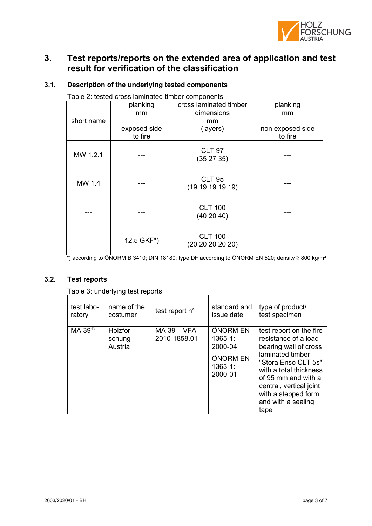

## **3. Test reports/reports on the extended area of application and test result for verification of the classification**

| Table 2: tested cross laminated timber components |              |                                    |                  |  |
|---------------------------------------------------|--------------|------------------------------------|------------------|--|
|                                                   | planking     | cross laminated timber             | planking         |  |
|                                                   | mm           | dimensions                         | mm               |  |
| short name                                        |              | mm                                 |                  |  |
|                                                   | exposed side | (layers)                           | non exposed side |  |
|                                                   | to fire      |                                    | to fire          |  |
| MW 1.2.1                                          |              | <b>CLT 97</b><br>(352735)          |                  |  |
| MW 1.4                                            |              | <b>CLT 95</b><br>(19 19 19 19 19)  |                  |  |
|                                                   |              | <b>CLT 100</b><br>(40 20 40)       |                  |  |
|                                                   | 12,5 GKF*)   | <b>CLT 100</b><br>(20 20 20 20 20) |                  |  |

### **3.1. Description of the underlying tested components**

\*) according to ÖNORM B 3410; DIN 18180; type DF according to ÖNORM EN 520; density ≥ 800 kg/m³

### **3.2. Test reports**

#### Table 3: underlying test reports

| test labo- | name of the                   | test report n°                | standard and                                                              | type of product/                                                                                                                                                                                                                                      |
|------------|-------------------------------|-------------------------------|---------------------------------------------------------------------------|-------------------------------------------------------------------------------------------------------------------------------------------------------------------------------------------------------------------------------------------------------|
| ratory     | costumer                      |                               | issue date                                                                | test specimen                                                                                                                                                                                                                                         |
| MA 391)    | Holzfor-<br>schung<br>Austria | $MA$ 39 - VFA<br>2010-1858.01 | ÖNORM EN<br>$1365 - 1$ :<br>2000-04<br>ÖNORM EN<br>$1363 - 1:$<br>2000-01 | test report on the fire<br>resistance of a load-<br>bearing wall of cross<br>laminated timber<br>"Stora Enso CLT 5s"<br>with a total thickness<br>of 95 mm and with a<br>central, vertical joint<br>with a stepped form<br>and with a sealing<br>tape |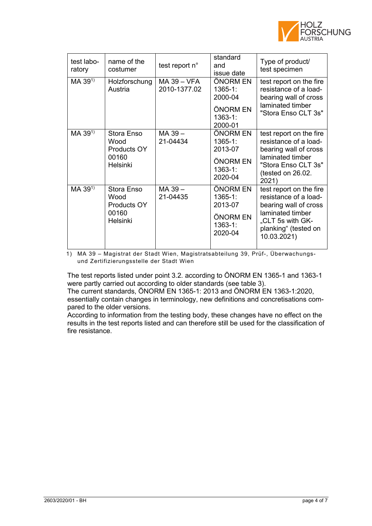

| test labo-<br>ratory | name of the<br>costumer                                | test report n°              | standard<br>and<br>issue date                                            | Type of product/<br>test specimen                                                                                                                        |
|----------------------|--------------------------------------------------------|-----------------------------|--------------------------------------------------------------------------|----------------------------------------------------------------------------------------------------------------------------------------------------------|
| MA 39 <sup>1)</sup>  | Holzforschung<br>Austria                               | MA 39 - VFA<br>2010-1377.02 | ÖNORM EN<br>$1365 - 1:$<br>2000-04<br>ÖNORM EN<br>$1363 - 1:$<br>2000-01 | test report on the fire<br>resistance of a load-<br>bearing wall of cross<br>laminated timber<br>"Stora Enso CLT 3s"                                     |
| MA 39 <sup>1)</sup>  | Stora Enso<br>Wood<br>Products OY<br>00160<br>Helsinki | MA 39-<br>21-04434          | ÖNORM EN<br>$1365 - 1:$<br>2013-07<br>ÖNORM EN<br>$1363 - 1:$<br>2020-04 | test report on the fire<br>resistance of a load-<br>bearing wall of cross<br>laminated timber<br>"Stora Enso CLT 3s"<br>(tested on 26.02.<br>2021)       |
| $MA 39^{1}$          | Stora Enso<br>Wood<br>Products OY<br>00160<br>Helsinki | MA 39-<br>21-04435          | ÖNORM EN<br>$1365 - 1:$<br>2013-07<br>ÖNORM EN<br>$1363 - 1:$<br>2020-04 | test report on the fire<br>resistance of a load-<br>bearing wall of cross<br>laminated timber<br>"CLT 5s with GK-<br>planking" (tested on<br>10.03.2021) |

1) MA 39 – Magistrat der Stadt Wien, Magistratsabteilung 39, Prüf-, Überwachungsund Zertifizierungsstelle der Stadt Wien

The test reports listed under point 3.2. according to ÖNORM EN 1365-1 and 1363-1 were partly carried out according to older standards (see table 3).

The current standards, ÖNORM EN 1365-1: 2013 and ÖNORM EN 1363-1:2020, essentially contain changes in terminology, new definitions and concretisations compared to the older versions.

According to information from the testing body, these changes have no effect on the results in the test reports listed and can therefore still be used for the classification of fire resistance.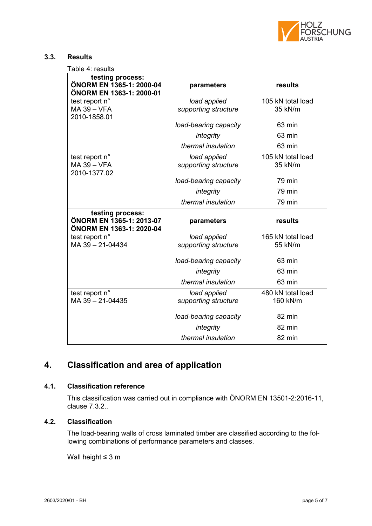

#### **3.3. Results**

Table 4: results

| testing process:<br>ÖNORM EN 1365-1: 2000-04<br>ÖNORM EN 1363-1: 2000-01 | parameters                           | results                       |  |
|--------------------------------------------------------------------------|--------------------------------------|-------------------------------|--|
| test report n°<br>MA 39 - VFA<br>2010-1858.01                            | load applied<br>supporting structure | 105 kN total load<br>35 kN/m  |  |
|                                                                          | load-bearing capacity                | 63 min                        |  |
|                                                                          | integrity                            | 63 min                        |  |
|                                                                          | thermal insulation                   | 63 min                        |  |
| test report n°<br><b>MA 39 - VFA</b><br>2010-1377.02                     | load applied<br>supporting structure | 105 kN total load<br>35 kN/m  |  |
|                                                                          | load-bearing capacity                | 79 min                        |  |
|                                                                          | integrity                            | 79 min                        |  |
|                                                                          | thermal insulation                   | 79 min                        |  |
|                                                                          |                                      |                               |  |
| testing process:<br>ÖNORM EN 1365-1: 2013-07<br>ÖNORM EN 1363-1: 2020-04 | parameters                           | results                       |  |
| test report n°<br>MA 39 - 21-04434                                       | load applied<br>supporting structure | 165 kN total load<br>55 kN/m  |  |
|                                                                          | load-bearing capacity                | 63 min                        |  |
|                                                                          | integrity                            | 63 min                        |  |
|                                                                          | thermal insulation                   | 63 min                        |  |
| test report n°<br>MA 39-21-04435                                         | load applied<br>supporting structure | 480 kN total load<br>160 kN/m |  |
|                                                                          | load-bearing capacity                | 82 min                        |  |
|                                                                          | integrity                            | 82 min                        |  |

# **4. Classification and area of application**

## **4.1. Classification reference**

This classification was carried out in compliance with ÖNORM EN 13501-2:2016-11, clause 7.3.2..

## **4.2. Classification**

The load-bearing walls of cross laminated timber are classified according to the following combinations of performance parameters and classes.

Wall height ≤ 3 m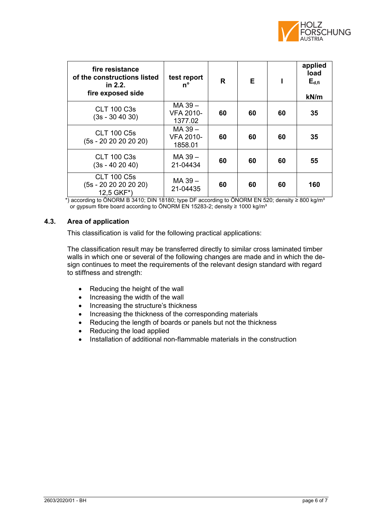

| fire resistance<br>of the constructions listed<br>in 2.2.<br>fire exposed side | test report<br>n°                      | R  | Е  |    | applied<br>load<br>$E_{d,fi}$<br>kN/m |
|--------------------------------------------------------------------------------|----------------------------------------|----|----|----|---------------------------------------|
| <b>CLT 100 C3s</b><br>$(3s - 30 40 30)$                                        | MA 39 -<br><b>VFA 2010-</b><br>1377.02 | 60 | 60 | 60 | 35                                    |
| <b>CLT 100 C5s</b><br>(5s - 20 20 20 20 20)                                    | MA 39 -<br><b>VFA 2010-</b><br>1858.01 | 60 | 60 | 60 | 35                                    |
| <b>CLT 100 C3s</b><br>(3s - 40 20 40)                                          | MA 39 -<br>21-04434                    | 60 | 60 | 60 | 55                                    |
| <b>CLT 100 C5s</b><br>(5s - 20 20 20 20 20)<br>12,5 GKF*)                      | MA 39 -<br>21-04435                    | 60 | 60 | 60 | 160                                   |

\*) according to ÖNORM B 3410; DIN 18180; type DF according to ÖNORM EN 520; density ≥ 800 kg/mª or gypsum fibre board according to ÖNORM EN 15283-2; density ≥ 1000 kg/m<sup>3</sup>

#### **4.3. Area of application**

This classification is valid for the following practical applications:

The classification result may be transferred directly to similar cross laminated timber walls in which one or several of the following changes are made and in which the design continues to meet the requirements of the relevant design standard with regard to stiffness and strength:

- Reducing the height of the wall
- Increasing the width of the wall
- Increasing the structure's thickness
- Increasing the thickness of the corresponding materials
- Reducing the length of boards or panels but not the thickness
- Reducing the load applied
- Installation of additional non-flammable materials in the construction